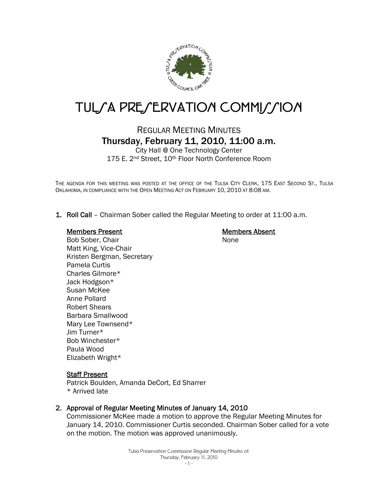

# TUL/A PRE/ERVATION COMMI//ION

# REGULAR MEETING MINUTES Thursday, February 11, 2010, 11:00 a.m.

City Hall @ One Technology Center 175 E. 2<sup>nd</sup> Street, 10<sup>th</sup> Floor North Conference Room

THE AGENDA FOR THIS MEETING WAS POSTED AT THE OFFICE OF THE TULSA CITY CLERK, 175 EAST SECOND ST., TULSA OKLAHOMA, IN COMPLIANCE WITH THE OPEN MEETING ACT ON FEBRUARY 10, 2010 AT 8:08 AM.

1. Roll Call – Chairman Sober called the Regular Meeting to order at 11:00 a.m.

#### Members Present

Members Absent None

Bob Sober, Chair Matt King, Vice-Chair Kristen Bergman, Secretary Pamela Curtis Charles Gilmore\* Jack Hodgson\* Susan McKee Anne Pollard Robert Shears Barbara Smallwood Mary Lee Townsend\* Jim Turner\* Bob Winchester\* Paula Wood Elizabeth Wright\*

# Staff Present

Patrick Boulden, Amanda DeCort, Ed Sharrer \* Arrived late

# 2. Approval of Regular Meeting Minutes of January 14, 2010

Commissioner McKee made a motion to approve the Regular Meeting Minutes for January 14, 2010. Commissioner Curtis seconded. Chairman Sober called for a vote on the motion. The motion was approved unanimously.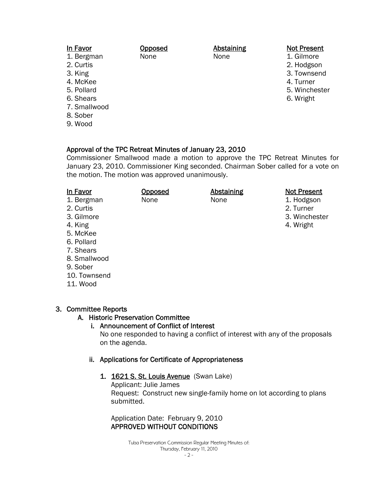| In Favor     | Opposed | <b>Abstaining</b> | <b>Not Present</b> |
|--------------|---------|-------------------|--------------------|
| 1. Bergman   | None    | None              | 1. Gilmore         |
| 2. Curtis    |         |                   | 2. Hodgson         |
| 3. King      |         |                   | 3. Townsend        |
| 4. McKee     |         |                   | 4. Turner          |
| 5. Pollard   |         |                   | 5. Winchester      |
| 6. Shears    |         |                   | 6. Wright          |
| 7. Smallwood |         |                   |                    |
| 8. Sober     |         |                   |                    |

9. Wood

# Approval of the TPC Retreat Minutes of January 23, 2010

Commissioner Smallwood made a motion to approve the TPC Retreat Minutes for January 23, 2010. Commissioner King seconded. Chairman Sober called for a vote on the motion. The motion was approved unanimously.

| In Favor<br>1. Bergman<br>2. Curtis<br>3. Gilmore<br>4. King<br>5. McKee<br>6. Pollard<br>7. Shears<br>8. Smallwood<br>9. Sober | <b>Opposed</b><br>None | <b>Abstaining</b><br>None | <b>Not Present</b><br>1. Hodgson<br>2. Turner<br>3. Winchester<br>4. Wright |
|---------------------------------------------------------------------------------------------------------------------------------|------------------------|---------------------------|-----------------------------------------------------------------------------|
| 10. Townsend                                                                                                                    |                        |                           |                                                                             |
| 11. Wood                                                                                                                        |                        |                           |                                                                             |

# 3. Committee Reports

# A. Historic Preservation Committee

# i. Announcement of Conflict of Interest

No one responded to having a conflict of interest with any of the proposals on the agenda.

# ii. Applications for Certificate of Appropriateness

1. 1621 S. St. Louis Avenue (Swan Lake)

Applicant: Julie James Request: Construct new single-family home on lot according to plans submitted.

Application Date: February 9, 2010 APPROVED WITHOUT CONDITIONS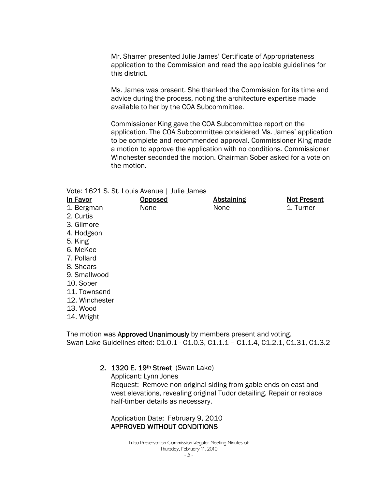Mr. Sharrer presented Julie James' Certificate of Appropriateness application to the Commission and read the applicable guidelines for this district.

Ms. James was present. She thanked the Commission for its time and advice during the process, noting the architecture expertise made available to her by the COA Subcommittee.

Commissioner King gave the COA Subcommittee report on the application. The COA Subcommittee considered Ms. James' application to be complete and recommended approval. Commissioner King made a motion to approve the application with no conditions. Commissioner Winchester seconded the motion. Chairman Sober asked for a vote on the motion.

|                | Vote: 1621 S. St. Louis Avenue   Julie James |                   |                    |
|----------------|----------------------------------------------|-------------------|--------------------|
| In Favor       | <b>Opposed</b>                               | <b>Abstaining</b> | <b>Not Present</b> |
| 1. Bergman     | None                                         | None              | 1. Turner          |
| 2. Curtis      |                                              |                   |                    |
| 3. Gilmore     |                                              |                   |                    |
| 4. Hodgson     |                                              |                   |                    |
| 5. King        |                                              |                   |                    |
| 6. McKee       |                                              |                   |                    |
| 7. Pollard     |                                              |                   |                    |
| 8. Shears      |                                              |                   |                    |
| 9. Smallwood   |                                              |                   |                    |
| 10. Sober      |                                              |                   |                    |
| 11. Townsend   |                                              |                   |                    |
| 12. Winchester |                                              |                   |                    |
| 13. Wood       |                                              |                   |                    |
| 14. Wright     |                                              |                   |                    |
|                |                                              |                   |                    |

The motion was Approved Unanimously by members present and voting. Swan Lake Guidelines cited: C1.0.1 - C1.0.3, C1.1.1 – C1.1.4, C1.2.1, C1.31, C1.3.2

# 2. 1320 E. 19th Street (Swan Lake)

Applicant: Lynn Jones Request: Remove non-original siding from gable ends on east and west elevations, revealing original Tudor detailing. Repair or replace half-timber details as necessary.

Application Date: February 9, 2010 APPROVED WITHOUT CONDITIONS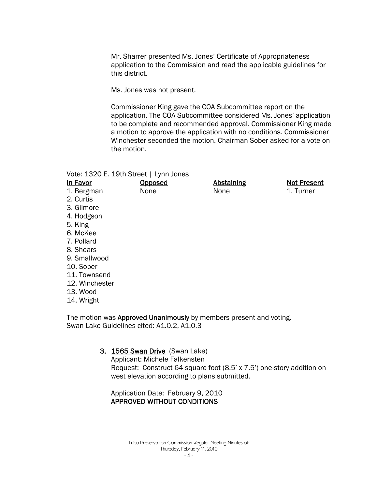Mr. Sharrer presented Ms. Jones' Certificate of Appropriateness application to the Commission and read the applicable guidelines for this district.

Ms. Jones was not present.

**Opposed** None

Commissioner King gave the COA Subcommittee report on the application. The COA Subcommittee considered Ms. Jones' application to be complete and recommended approval. Commissioner King made a motion to approve the application with no conditions. Commissioner Winchester seconded the motion. Chairman Sober asked for a vote on the motion.

> Abstaining None

Not Present 1. Turner

Vote: 1320 E. 19th Street | Lynn Jones

| In Favor   |
|------------|
| 1. Bergman |
| 2. Curtis  |

- 3. Gilmore
- 4. Hodgson
- 5. King
- 6. McKee
- 7. Pollard
- 8. Shears
- 9. Smallwood
- 10. Sober
- 11. Townsend
- 12. Winchester
- 13. Wood
- 14. Wright

The motion was **Approved Unanimously** by members present and voting. Swan Lake Guidelines cited: A1.0.2, A1.0.3

# 3. 1565 Swan Drive (Swan Lake)

Applicant: Michele Falkensten Request: Construct 64 square foot (8.5' x 7.5') one-story addition on west elevation according to plans submitted.

Application Date: February 9, 2010 APPROVED WITHOUT CONDITIONS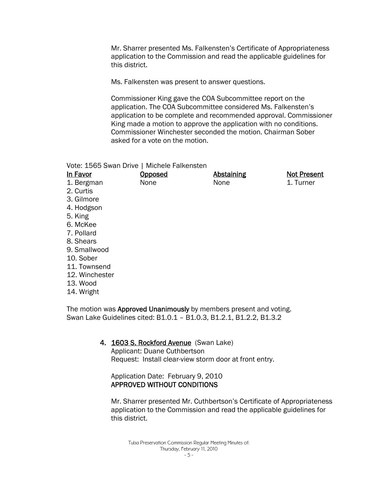Mr. Sharrer presented Ms. Falkensten's Certificate of Appropriateness application to the Commission and read the applicable guidelines for this district.

Ms. Falkensten was present to answer questions.

Commissioner King gave the COA Subcommittee report on the application. The COA Subcommittee considered Ms. Falkensten's application to be complete and recommended approval. Commissioner King made a motion to approve the application with no conditions. Commissioner Winchester seconded the motion. Chairman Sober asked for a vote on the motion.

Vote: 1565 Swan Drive | Michele Falkensten

| In Favor       | <b>Opposed</b> | <b>Abstaining</b> | <b>Not Present</b> |
|----------------|----------------|-------------------|--------------------|
| 1. Bergman     | None           | None              | 1. Turner          |
| 2. Curtis      |                |                   |                    |
| 3. Gilmore     |                |                   |                    |
| 4. Hodgson     |                |                   |                    |
| 5. King        |                |                   |                    |
| 6. McKee       |                |                   |                    |
| 7. Pollard     |                |                   |                    |
| 8. Shears      |                |                   |                    |
| 9. Smallwood   |                |                   |                    |
| 10. Sober      |                |                   |                    |
| 11. Townsend   |                |                   |                    |
| 12. Winchester |                |                   |                    |
| 13. Wood       |                |                   |                    |
| 14. Wright     |                |                   |                    |
|                |                |                   |                    |

The motion was **Approved Unanimously** by members present and voting. Swan Lake Guidelines cited: B1.0.1 – B1.0.3, B1.2.1, B1.2.2, B1.3.2

4. 1603 S. Rockford Avenue (Swan Lake)

Applicant: Duane Cuthbertson Request: Install clear-view storm door at front entry.

# Application Date: February 9, 2010 APPROVED WITHOUT CONDITIONS

Mr. Sharrer presented Mr. Cuthbertson's Certificate of Appropriateness application to the Commission and read the applicable guidelines for this district.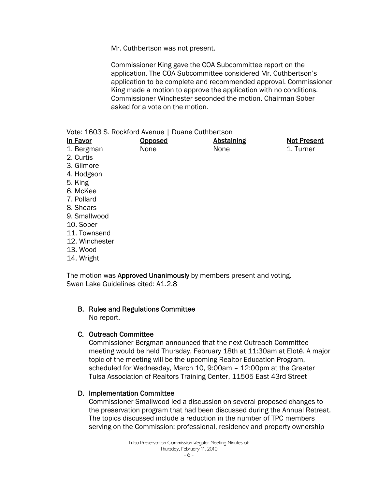Mr. Cuthbertson was not present.

Commissioner King gave the COA Subcommittee report on the application. The COA Subcommittee considered Mr. Cuthbertson's application to be complete and recommended approval. Commissioner King made a motion to approve the application with no conditions. Commissioner Winchester seconded the motion. Chairman Sober asked for a vote on the motion.

| Vote: 1603 S. Rockford Avenue   Duane Cuthbertson |         |            |                    |
|---------------------------------------------------|---------|------------|--------------------|
| In Favor                                          | Opposed | Abstaining | <b>Not Present</b> |
| 1. Bergman                                        | None    | None       | 1. Turner          |
| 2. Curtis                                         |         |            |                    |
| 3. Gilmore                                        |         |            |                    |
| 4. Hodgson                                        |         |            |                    |
| 5. King                                           |         |            |                    |
| 6. McKee                                          |         |            |                    |
| 7. Pollard                                        |         |            |                    |
| 8. Shears                                         |         |            |                    |
| 9. Smallwood                                      |         |            |                    |
| 10. Sober                                         |         |            |                    |
| 11. Townsend                                      |         |            |                    |
| 12. Winchester                                    |         |            |                    |
| 13. Wood                                          |         |            |                    |
|                                                   |         |            |                    |

14. Wright

The motion was **Approved Unanimously** by members present and voting. Swan Lake Guidelines cited: A1.2.8

# B. Rules and Regulations Committee

No report.

# C. Outreach Committee

Commissioner Bergman announced that the next Outreach Committee meeting would be held Thursday, February 18th at 11:30am at Eloté. A major topic of the meeting will be the upcoming Realtor Education Program, scheduled for Wednesday, March 10, 9:00am – 12:00pm at the Greater Tulsa Association of Realtors Training Center, 11505 East 43rd Street

# D. Implementation Committee

Commissioner Smallwood led a discussion on several proposed changes to the preservation program that had been discussed during the Annual Retreat. The topics discussed include a reduction in the number of TPC members serving on the Commission; professional, residency and property ownership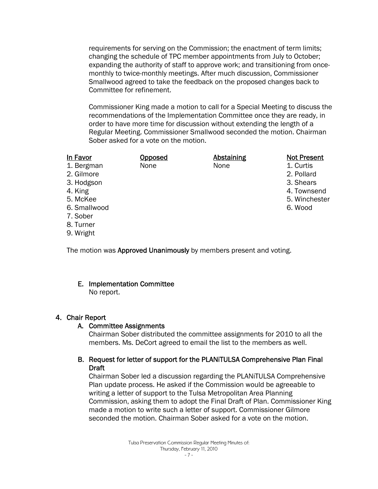requirements for serving on the Commission; the enactment of term limits; changing the schedule of TPC member appointments from July to October; expanding the authority of staff to approve work; and transitioning from oncemonthly to twice-monthly meetings. After much discussion, Commissioner Smallwood agreed to take the feedback on the proposed changes back to Committee for refinement.

Commissioner King made a motion to call for a Special Meeting to discuss the recommendations of the Implementation Committee once they are ready, in order to have more time for discussion without extending the length of a Regular Meeting. Commissioner Smallwood seconded the motion. Chairman Sober asked for a vote on the motion.

| In Favor     | <b>Opposed</b> | <b>Abstaining</b> | <b>Not Present</b> |
|--------------|----------------|-------------------|--------------------|
| 1. Bergman   | None           | None              | 1. Curtis          |
| 2. Gilmore   |                |                   | 2. Pollard         |
| 3. Hodgson   |                |                   | 3. Shears          |
| 4. King      |                |                   | 4. Townsend        |
| 5. McKee     |                |                   | 5. Winchester      |
| 6. Smallwood |                |                   | 6. Wood            |
| 7. Sober     |                |                   |                    |
| 8. Turner    |                |                   |                    |
| 9. Wright    |                |                   |                    |

The motion was **Approved Unanimously** by members present and voting.

# E. Implementation Committee

No report.

# 4. Chair Report

# A. Committee Assignments

Chairman Sober distributed the committee assignments for 2010 to all the members. Ms. DeCort agreed to email the list to the members as well.

# B. Request for letter of support for the PLANiTULSA Comprehensive Plan Final **Draft**

Chairman Sober led a discussion regarding the PLANiTULSA Comprehensive Plan update process. He asked if the Commission would be agreeable to writing a letter of support to the Tulsa Metropolitan Area Planning Commission, asking them to adopt the Final Draft of Plan. Commissioner King made a motion to write such a letter of support. Commissioner Gilmore seconded the motion. Chairman Sober asked for a vote on the motion.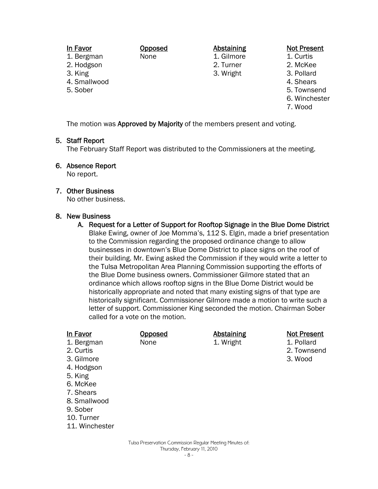In Favor 1. Bergman 2. Hodgson 3. King 4. Smallwood 5. Sober Opposed None Abstaining 1. Gilmore 2. Turner 3. Wright

#### Not Present

- 1. Curtis
- 2. McKee
- 3. Pollard
- 4. Shears
- 5. Townsend
- 6. Winchester
- 7. Wood

The motion was Approved by Majority of the members present and voting.

# 5. Staff Report

The February Staff Report was distributed to the Commissioners at the meeting.

# 6. Absence Report

No report.

# 7. Other Business

No other business.

#### 8. New Business

A. Request for a Letter of Support for Rooftop Signage in the Blue Dome District Blake Ewing, owner of Joe Momma's, 112 S. Elgin, made a brief presentation to the Commission regarding the proposed ordinance change to allow businesses in downtown's Blue Dome District to place signs on the roof of their building. Mr. Ewing asked the Commission if they would write a letter to the Tulsa Metropolitan Area Planning Commission supporting the efforts of the Blue Dome business owners. Commissioner Gilmore stated that an ordinance which allows rooftop signs in the Blue Dome District would be historically appropriate and noted that many existing signs of that type are historically significant. Commissioner Gilmore made a motion to write such a letter of support. Commissioner King seconded the motion. Chairman Sober called for a vote on the motion.

| In Favor<br>1. Bergman<br>2. Curtis<br>3. Gilmore<br>4. Hodgson<br>5. King<br>6. McKee<br>7. Shears<br>8. Smallwood<br>9. Sober<br>10. Turner<br>11. Winchester | <u>Opposed</u><br>None | <b>Abstaining</b><br>1. Wright | <b>Not Present</b><br>1. Pollard<br>2. Townsend<br>3. Wood |
|-----------------------------------------------------------------------------------------------------------------------------------------------------------------|------------------------|--------------------------------|------------------------------------------------------------|
|                                                                                                                                                                 |                        |                                |                                                            |

Tulsa Preservation Commission Regular Meeting Minutes of: Thursday, February 11, 2010